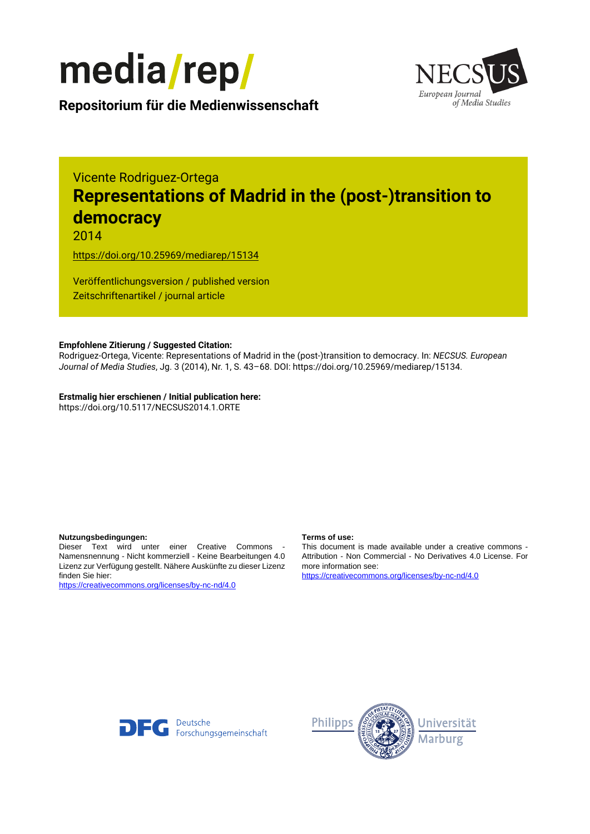



**Repositorium für die [Medienwissenschaft](https://mediarep.org)**

# Vicente Rodriguez-Ortega **Representations of Madrid in the (post-)transition to democracy**

2014

<https://doi.org/10.25969/mediarep/15134>

Veröffentlichungsversion / published version Zeitschriftenartikel / journal article

#### **Empfohlene Zitierung / Suggested Citation:**

Rodriguez-Ortega, Vicente: Representations of Madrid in the (post-)transition to democracy. In: *NECSUS. European Journal of Media Studies*, Jg. 3 (2014), Nr. 1, S. 43–68. DOI: https://doi.org/10.25969/mediarep/15134.

**Erstmalig hier erschienen / Initial publication here:** https://doi.org/10.5117/NECSUS2014.1.ORTE

#### **Nutzungsbedingungen: Terms of use:**

Dieser Text wird unter einer Creative Commons - Namensnennung - Nicht kommerziell - Keine Bearbeitungen 4.0 Lizenz zur Verfügung gestellt. Nähere Auskünfte zu dieser Lizenz finden Sie hier:

<https://creativecommons.org/licenses/by-nc-nd/4.0>

This document is made available under a creative commons - Attribution - Non Commercial - No Derivatives 4.0 License. For more information see:

<https://creativecommons.org/licenses/by-nc-nd/4.0>



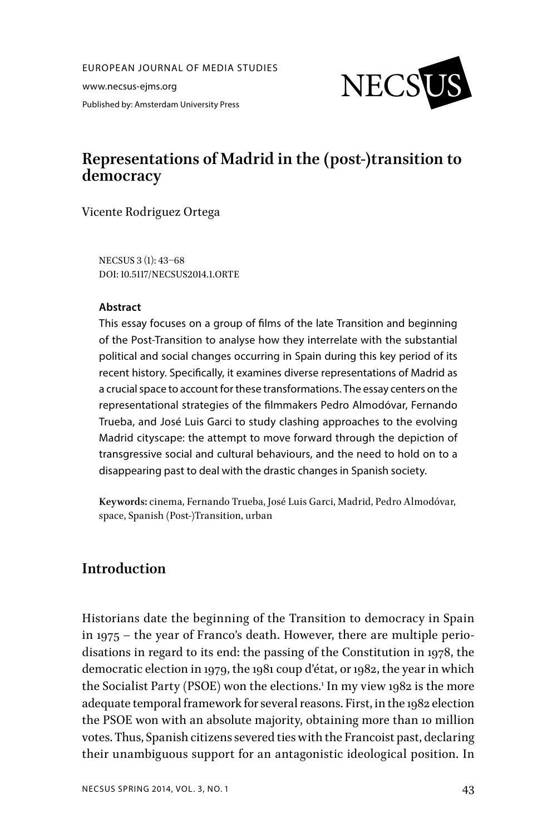EUROPEAN JOURNAL OF MEDIA STUDIES

www.necsus-ejms.org Published by: Amsterdam University Press



## **Representations of Madrid in the (post-)transition to democracy**

Vicente Rodriguez Ortega

NECSUS 3 (1): 43–68 DOI: 10.5117/NECSUS2014.1.ORTE

#### **Abstract**

This essay focuses on a group of films of the late Transition and beginning of the Post-Transition to analyse how they interrelate with the substantial political and social changes occurring in Spain during this key period of its recent history. Specifically, it examines diverse representations of Madrid as a crucial space to account for these transformations. The essay centers on the representational strategies of the filmmakers Pedro Almodóvar, Fernando Trueba, and José Luis Garci to study clashing approaches to the evolving Madrid cityscape: the attempt to move forward through the depiction of transgressive social and cultural behaviours, and the need to hold on to a disappearing past to deal with the drastic changes in Spanish society.

**Keywords:** cinema, Fernando Trueba, José Luis Garci, Madrid, Pedro Almodóvar, space, Spanish (Post-)Transition, urban

## **Introduction**

Historians date the beginning of the Transition to democracy in Spain in 1975 – the year of Franco's death. However, there are multiple periodisations in regard to its end: the passing of the Constitution in 1978, the democratic election in 1979, the 1981 coup d'état, or 1982, the year in which the Socialist Party (PSOE) won the elections.' In my view 1982 is the more adequate temporal framework for several reasons. First, in the 1982 election the PSOE won with an absolute majority, obtaining more than 10 million votes. Thus, Spanish citizens severed ties with the Francoist past, declaring their unambiguous support for an antagonistic ideological position. In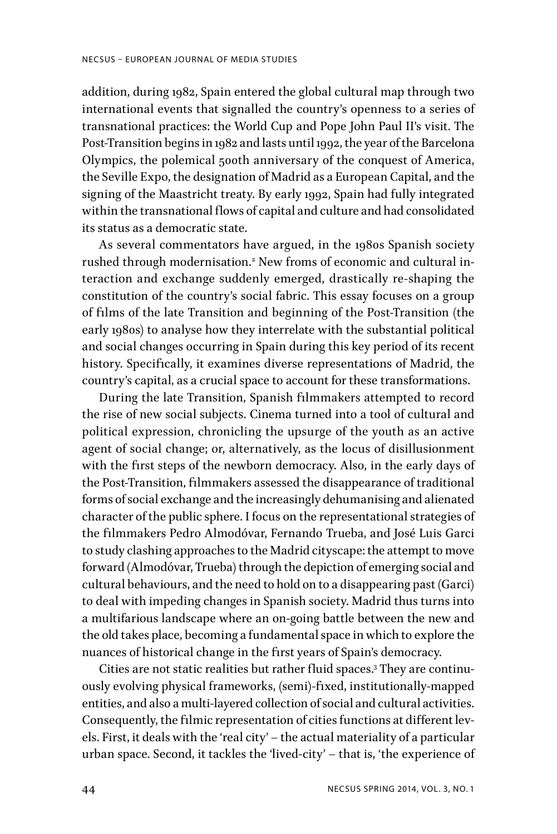addition, during 1982, Spain entered the global cultural map through two international events that signalled the country's openness to a series of transnational practices: the World Cup and Pope John Paul II's visit. The Post-Transition begins in 1982 and lasts until 1992, the year of the Barcelona Olympics, the polemical 500th anniversary of the conquest of America, the Seville Expo, the designation of Madrid as a European Capital, and the signing of the Maastricht treaty. By early 1992, Spain had fully integrated within the transnational flows of capital and culture and had consolidated its status as a democratic state.

As several commentators have argued, in the 1980s Spanish society rushed through modernisation.2 New froms of economic and cultural interaction and exchange suddenly emerged, drastically re-shaping the constitution of the country's social fabric. This essay focuses on a group of films of the late Transition and beginning of the Post-Transition (the early 1980s) to analyse how they interrelate with the substantial political and social changes occurring in Spain during this key period of its recent history. Specifically, it examines diverse representations of Madrid, the country's capital, as a crucial space to account for these transformations.

During the late Transition, Spanish filmmakers attempted to record the rise of new social subjects. Cinema turned into a tool of cultural and political expression, chronicling the upsurge of the youth as an active agent of social change; or, alternatively, as the locus of disillusionment with the first steps of the newborn democracy. Also, in the early days of the Post-Transition, filmmakers assessed the disappearance of traditional forms of social exchange and the increasingly dehumanising and alienated character of the public sphere. I focus on the representational strategies of the filmmakers Pedro Almodóvar, Fernando Trueba, and José Luis Garci to study clashing approaches to the Madrid cityscape: the attempt to move forward (Almodóvar, Trueba) through the depiction of emerging social and cultural behaviours, and the need to hold on to a disappearing past (Garci) to deal with impeding changes in Spanish society. Madrid thus turns into a multifarious landscape where an on-going battle between the new and the old takes place, becoming a fundamental space in which to explore the nuances of historical change in the first years of Spain's democracy.

Cities are not static realities but rather fluid spaces.3 They are continuously evolving physical frameworks, (semi)-fixed, institutionally-mapped entities, and also a multi-layered collection of social and cultural activities. Consequently, the filmic representation of cities functions at different levels. First, it deals with the 'real city' – the actual materiality of a particular urban space. Second, it tackles the 'lived-city' – that is, 'the experience of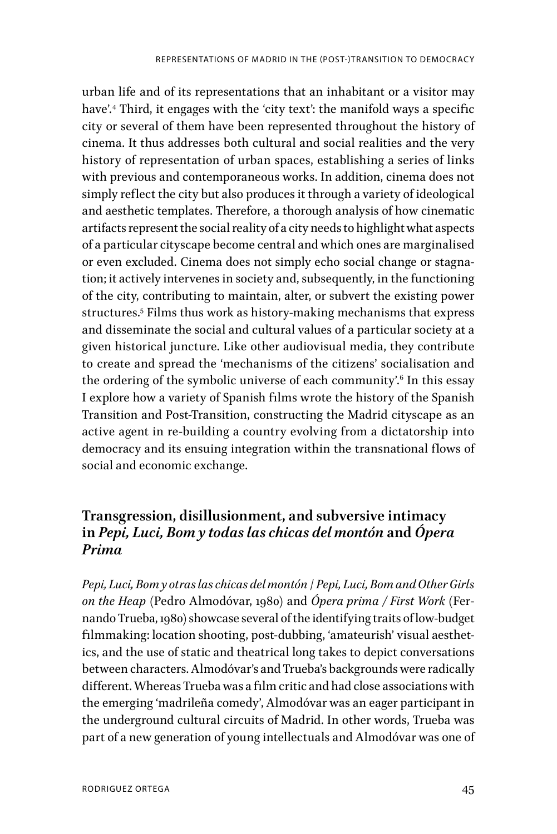urban life and of its representations that an inhabitant or a visitor may have'.4 Third, it engages with the 'city text': the manifold ways a specific city or several of them have been represented throughout the history of cinema. It thus addresses both cultural and social realities and the very history of representation of urban spaces, establishing a series of links with previous and contemporaneous works. In addition, cinema does not simply reflect the city but also produces it through a variety of ideological and aesthetic templates. Therefore, a thorough analysis of how cinematic artifacts represent the social reality of a city needs to highlight what aspects of a particular cityscape become central and which ones are marginalised or even excluded. Cinema does not simply echo social change or stagnation; it actively intervenes in society and, subsequently, in the functioning of the city, contributing to maintain, alter, or subvert the existing power structures.5 Films thus work as history-making mechanisms that express and disseminate the social and cultural values of a particular society at a given historical juncture. Like other audiovisual media, they contribute to create and spread the 'mechanisms of the citizens' socialisation and the ordering of the symbolic universe of each community'.6 In this essay I explore how a variety of Spanish films wrote the history of the Spanish Transition and Post-Transition, constructing the Madrid cityscape as an active agent in re-building a country evolving from a dictatorship into democracy and its ensuing integration within the transnational flows of social and economic exchange.

## **Transgression, disillusionment, and subversive intimacy in** *Pepi, Luci, Bom y todas las chicas del montón* **and** *Ópera Prima*

*Pepi, Luci, Bom y otras las chicas del montón* / *Pepi, Luci, Bom and Other Girls on the Heap* (Pedro Almodóvar, 1980) and *Ópera prima / First Work* (Fernando Trueba, 1980) showcase several of the identifying traits of low-budget filmmaking: location shooting, post-dubbing, 'amateurish' visual aesthetics, and the use of static and theatrical long takes to depict conversations between characters. Almodóvar's and Trueba's backgrounds were radically different. Whereas Trueba was a film critic and had close associations with the emerging 'madrileña comedy', Almodóvar was an eager participant in the underground cultural circuits of Madrid. In other words, Trueba was part of a new generation of young intellectuals and Almodóvar was one of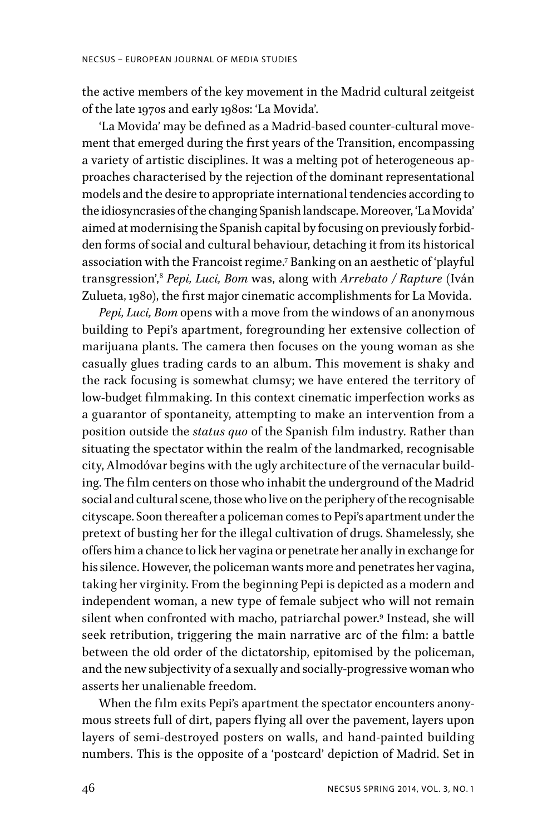the active members of the key movement in the Madrid cultural zeitgeist of the late 1970s and early 1980s: 'La Movida'.

'La Movida' may be defined as a Madrid-based counter-cultural movement that emerged during the first years of the Transition, encompassing a variety of artistic disciplines. It was a melting pot of heterogeneous approaches characterised by the rejection of the dominant representational models and the desire to appropriate international tendencies according to the idiosyncrasies of the changing Spanish landscape. Moreover, 'La Movida' aimed at modernising the Spanish capital by focusing on previously forbidden forms of social and cultural behaviour, detaching it from its historical association with the Francoist regime.7 Banking on an aesthetic of 'playful transgression',8 *Pepi, Luci, Bom* was, along with *Arrebato / Rapture* (Iván Zulueta, 1980), the first major cinematic accomplishments for La Movida.

*Pepi, Luci, Bom* opens with a move from the windows of an anonymous building to Pepi's apartment, foregrounding her extensive collection of marijuana plants. The camera then focuses on the young woman as she casually glues trading cards to an album. This movement is shaky and the rack focusing is somewhat clumsy; we have entered the territory of low-budget filmmaking. In this context cinematic imperfection works as a guarantor of spontaneity, attempting to make an intervention from a position outside the *status quo* of the Spanish film industry. Rather than situating the spectator within the realm of the landmarked, recognisable city, Almodóvar begins with the ugly architecture of the vernacular building. The film centers on those who inhabit the underground of the Madrid social and cultural scene, those who live on the periphery of the recognisable cityscape. Soon thereafter a policeman comes to Pepi's apartment under the pretext of busting her for the illegal cultivation of drugs. Shamelessly, she offers him a chance to lick her vagina or penetrate her anally in exchange for his silence. However, the policeman wants more and penetrates her vagina, taking her virginity. From the beginning Pepi is depicted as a modern and independent woman, a new type of female subject who will not remain silent when confronted with macho, patriarchal power.<sup>9</sup> Instead, she will seek retribution, triggering the main narrative arc of the film: a battle between the old order of the dictatorship, epitomised by the policeman, and the new subjectivity of a sexually and socially-progressive woman who asserts her unalienable freedom.

When the film exits Pepi's apartment the spectator encounters anonymous streets full of dirt, papers flying all over the pavement, layers upon layers of semi-destroyed posters on walls, and hand-painted building numbers. This is the opposite of a 'postcard' depiction of Madrid. Set in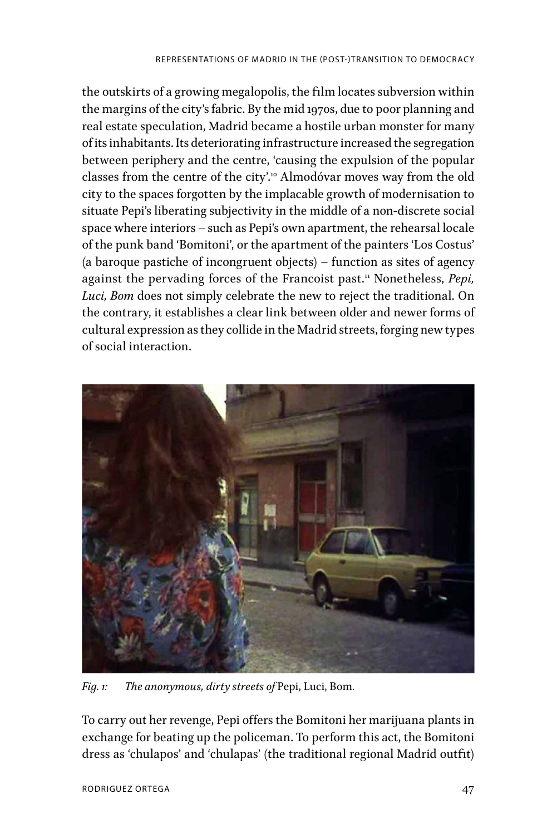the outskirts of a growing megalopolis, the film locates subversion within the margins of the city's fabric. By the mid 1970s, due to poor planning and real estate speculation, Madrid became a hostile urban monster for many of its inhabitants. Its deteriorating infrastructure increased the segregation between periphery and the centre, 'causing the expulsion of the popular classes from the centre of the city'.<sup>10</sup> Almodóvar moves way from the old city to the spaces forgotten by the implacable growth of modernisation to situate Pepi's liberating subjectivity in the middle of a non-discrete social space where interiors – such as Pepi's own apartment, the rehearsal locale of the punk band 'Bomitoni', or the apartment of the painters 'Los Costus' (a baroque pastiche of incongruent objects) – function as sites of agency against the pervading forces of the Francoist past.<sup>11</sup> Nonetheless, *Pepi*, *Luci, Bom* does not simply celebrate the new to reject the traditional. On the contrary, it establishes a clear link between older and newer forms of cultural expression as they collide in the Madrid streets, forging new types of social interaction.



*Fig. 1: The anonymous, dirty streets of* Pepi, Luci, Bom*.*

To carry out her revenge, Pepi offers the Bomitoni her marijuana plants in exchange for beating up the policeman. To perform this act, the Bomitoni dress as 'chulapos' and 'chulapas' (the traditional regional Madrid outfit)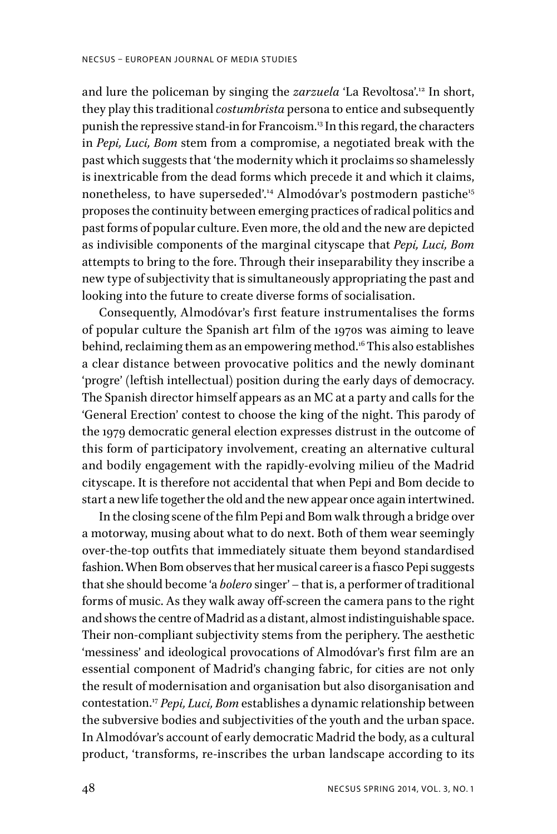and lure the policeman by singing the *zarzuela* 'La Revoltosa'.<sup>12</sup> In short, they play this traditional *costumbrista* persona to entice and subsequently punish the repressive stand-in for Francoism.<sup>13</sup> In this regard, the characters in *Pepi, Luci, Bom* stem from a compromise, a negotiated break with the past which suggests that 'the modernity which it proclaims so shamelessly is inextricable from the dead forms which precede it and which it claims, nonetheless, to have superseded'.<sup>14</sup> Almodóvar's postmodern pastiche<sup>15</sup> proposes the continuity between emerging practices of radical politics and past forms of popular culture. Even more, the old and the new are depicted as indivisible components of the marginal cityscape that *Pepi, Luci, Bom*  attempts to bring to the fore. Through their inseparability they inscribe a new type of subjectivity that is simultaneously appropriating the past and looking into the future to create diverse forms of socialisation.

Consequently, Almodóvar's first feature instrumentalises the forms of popular culture the Spanish art film of the 1970s was aiming to leave behind, reclaiming them as an empowering method.<sup>16</sup> This also establishes a clear distance between provocative politics and the newly dominant 'progre' (leftish intellectual) position during the early days of democracy. The Spanish director himself appears as an MC at a party and calls for the 'General Erection' contest to choose the king of the night. This parody of the 1979 democratic general election expresses distrust in the outcome of this form of participatory involvement, creating an alternative cultural and bodily engagement with the rapidly-evolving milieu of the Madrid cityscape. It is therefore not accidental that when Pepi and Bom decide to start a new life together the old and the new appear once again intertwined.

In the closing scene of the film Pepi and Bom walk through a bridge over a motorway, musing about what to do next. Both of them wear seemingly over-the-top outfits that immediately situate them beyond standardised fashion. When Bom observes that her musical career is a fiasco Pepi suggests that she should become 'a *bolero* singer' – that is, a performer of traditional forms of music. As they walk away off-screen the camera pans to the right and shows the centre of Madrid as a distant, almost indistinguishable space. Their non-compliant subjectivity stems from the periphery. The aesthetic 'messiness' and ideological provocations of Almodóvar's first film are an essential component of Madrid's changing fabric, for cities are not only the result of modernisation and organisation but also disorganisation and contestation.17 *Pepi, Luci, Bom* establishes a dynamic relationship between the subversive bodies and subjectivities of the youth and the urban space. In Almodóvar's account of early democratic Madrid the body, as a cultural product, 'transforms, re-inscribes the urban landscape according to its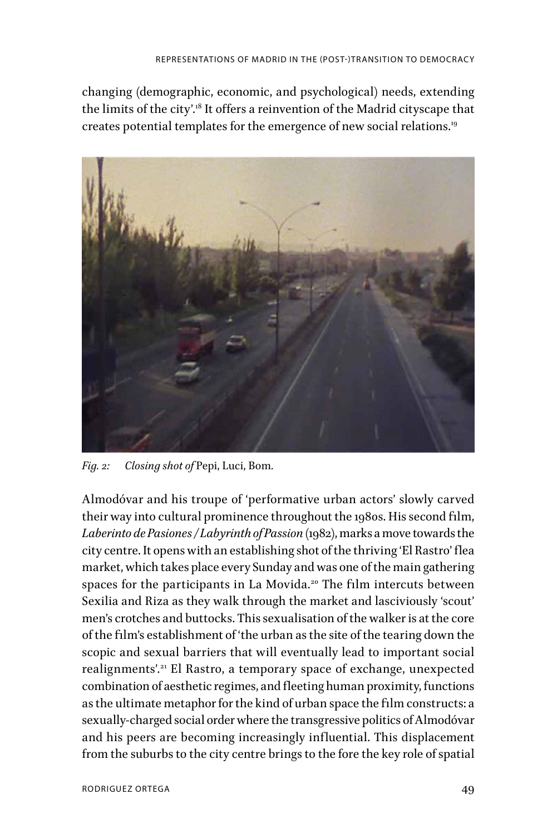changing (demographic, economic, and psychological) needs, extending the limits of the city'.<sup>18</sup> It offers a reinvention of the Madrid cityscape that creates potential templates for the emergence of new social relations.19



*Fig. 2: Closing shot of* Pepi, Luci, Bom*.*

Almodóvar and his troupe of 'performative urban actors' slowly carved their way into cultural prominence throughout the 1980s. His second film, *Laberinto de Pasiones / Labyrinth of Passion* (1982), marks a move towards the city centre. It opens with an establishing shot of the thriving 'El Rastro' flea market, which takes place every Sunday and was one of the main gathering spaces for the participants in La Movida.<sup>20</sup> The film intercuts between Sexilia and Riza as they walk through the market and lasciviously 'scout' men's crotches and buttocks. This sexualisation of the walker is at the core of the film's establishment of 'the urban as the site of the tearing down the scopic and sexual barriers that will eventually lead to important social realignments'.<sup>21</sup> El Rastro, a temporary space of exchange, unexpected combination of aesthetic regimes, and fleeting human proximity, functions as the ultimate metaphor for the kind of urban space the film constructs: a sexually-charged social order where the transgressive politics of Almodóvar and his peers are becoming increasingly influential. This displacement from the suburbs to the city centre brings to the fore the key role of spatial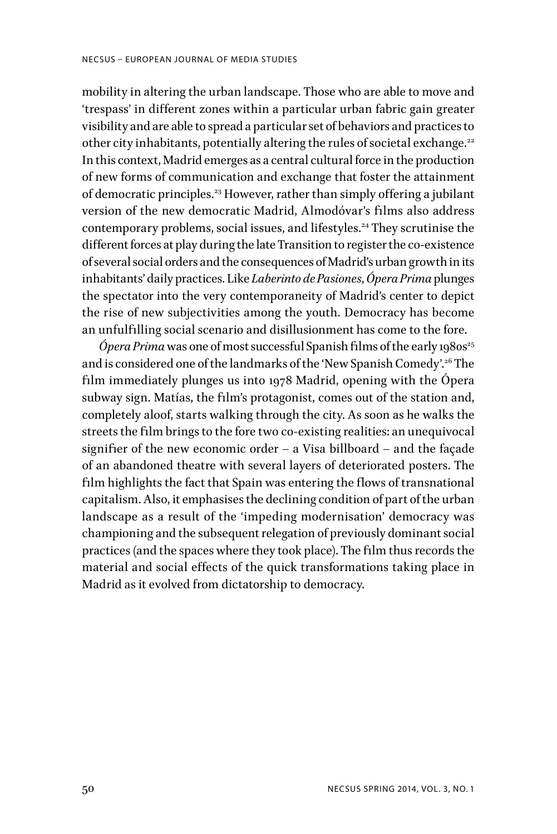mobility in altering the urban landscape. Those who are able to move and 'trespass' in different zones within a particular urban fabric gain greater visibility and are able to spread a particular set of behaviors and practices to other city inhabitants, potentially altering the rules of societal exchange.<sup>22</sup> In this context, Madrid emerges as a central cultural force in the production of new forms of communication and exchange that foster the attainment of democratic principles.<sup>23</sup> However, rather than simply offering a jubilant version of the new democratic Madrid, Almodóvar's films also address contemporary problems, social issues, and lifestyles.<sup>24</sup> They scrutinise the different forces at play during the late Transition to register the co-existence of several social orders and the consequences of Madrid's urban growth in its inhabitants' daily practices. Like *Laberinto de Pasiones*, *Ópera Prima* plunges the spectator into the very contemporaneity of Madrid's center to depict the rise of new subjectivities among the youth. Democracy has become an unfulfilling social scenario and disillusionment has come to the fore.

Ópera Prima was one of most successful Spanish films of the early 1980s<sup>25</sup> and is considered one of the landmarks of the 'New Spanish Comedy'.<sup>26</sup> The film immediately plunges us into 1978 Madrid, opening with the Ópera subway sign. Matías, the film's protagonist, comes out of the station and, completely aloof, starts walking through the city. As soon as he walks the streets the film brings to the fore two co-existing realities: an unequivocal signifier of the new economic order – a Visa billboard – and the façade of an abandoned theatre with several layers of deteriorated posters. The film highlights the fact that Spain was entering the flows of transnational capitalism. Also, it emphasises the declining condition of part of the urban landscape as a result of the 'impeding modernisation' democracy was championing and the subsequent relegation of previously dominant social practices (and the spaces where they took place). The film thus records the material and social effects of the quick transformations taking place in Madrid as it evolved from dictatorship to democracy.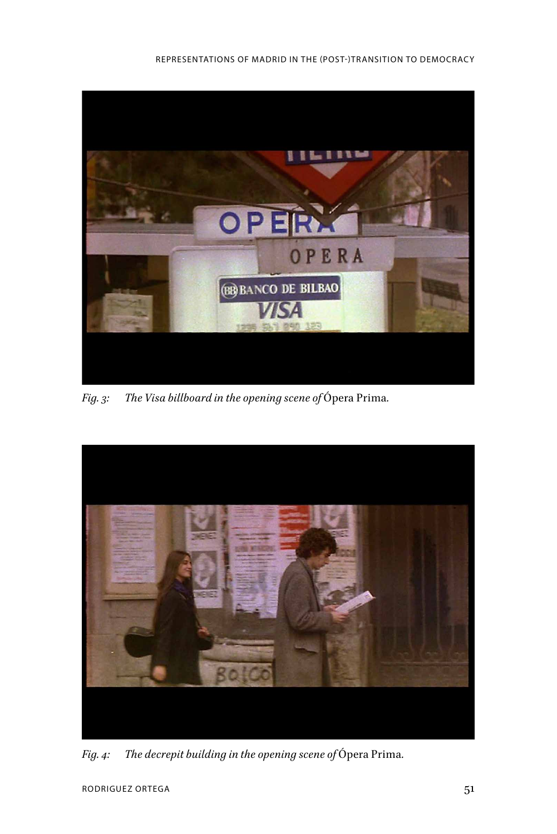

*Fig. 3: The Visa billboard in the opening scene of* Ópera Prima*.*



*Fig. 4: The decrepit building in the opening scene of* Ópera Prima*.*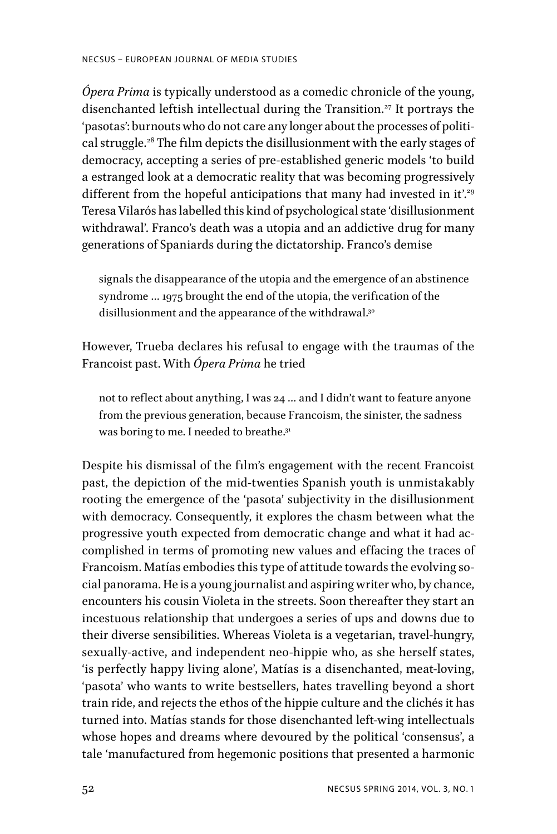*Ópera Prima* is typically understood as a comedic chronicle of the young, disenchanted leftish intellectual during the Transition.<sup>27</sup> It portrays the 'pasotas': burnouts who do not care any longer about the processes of political struggle.<sup>28</sup> The film depicts the disillusionment with the early stages of democracy, accepting a series of pre-established generic models 'to build a estranged look at a democratic reality that was becoming progressively different from the hopeful anticipations that many had invested in it'.<sup>29</sup> Teresa Vilarós has labelled this kind of psychological state 'disillusionment withdrawal'. Franco's death was a utopia and an addictive drug for many generations of Spaniards during the dictatorship. Franco's demise

signals the disappearance of the utopia and the emergence of an abstinence syndrome … 1975 brought the end of the utopia, the verification of the disillusionment and the appearance of the withdrawal.<sup>30</sup>

However, Trueba declares his refusal to engage with the traumas of the Francoist past. With *Ópera Prima* he tried

not to reflect about anything, I was 24 … and I didn't want to feature anyone from the previous generation, because Francoism, the sinister, the sadness was boring to me. I needed to breathe.<sup>31</sup>

Despite his dismissal of the film's engagement with the recent Francoist past, the depiction of the mid-twenties Spanish youth is unmistakably rooting the emergence of the 'pasota' subjectivity in the disillusionment with democracy. Consequently, it explores the chasm between what the progressive youth expected from democratic change and what it had accomplished in terms of promoting new values and effacing the traces of Francoism. Matías embodies this type of attitude towards the evolving social panorama. He is a young journalist and aspiring writer who, by chance, encounters his cousin Violeta in the streets. Soon thereafter they start an incestuous relationship that undergoes a series of ups and downs due to their diverse sensibilities. Whereas Violeta is a vegetarian, travel-hungry, sexually-active, and independent neo-hippie who, as she herself states, 'is perfectly happy living alone', Matías is a disenchanted, meat-loving, 'pasota' who wants to write bestsellers, hates travelling beyond a short train ride, and rejects the ethos of the hippie culture and the clichés it has turned into. Matías stands for those disenchanted left-wing intellectuals whose hopes and dreams where devoured by the political 'consensus', a tale 'manufactured from hegemonic positions that presented a harmonic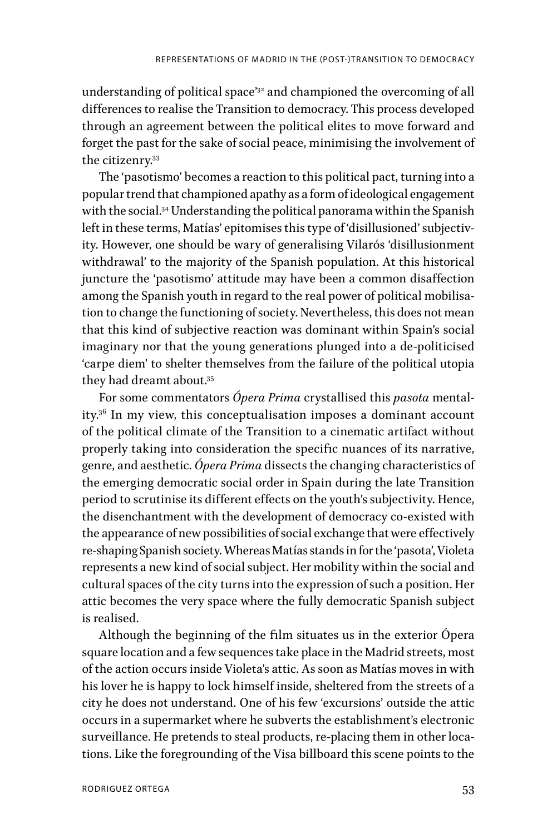understanding of political space'32 and championed the overcoming of all differences to realise the Transition to democracy. This process developed through an agreement between the political elites to move forward and forget the past for the sake of social peace, minimising the involvement of the citizenry.33

The 'pasotismo' becomes a reaction to this political pact, turning into a popular trend that championed apathy as a form of ideological engagement with the social.<sup>34</sup> Understanding the political panorama within the Spanish left in these terms, Matías' epitomises this type of 'disillusioned' subjectivity. However, one should be wary of generalising Vilarós 'disillusionment withdrawal' to the majority of the Spanish population. At this historical juncture the 'pasotismo' attitude may have been a common disaffection among the Spanish youth in regard to the real power of political mobilisation to change the functioning of society. Nevertheless, this does not mean that this kind of subjective reaction was dominant within Spain's social imaginary nor that the young generations plunged into a de-politicised 'carpe diem' to shelter themselves from the failure of the political utopia they had dreamt about.35

For some commentators *Ópera Prima* crystallised this *pasota* mentality. $36$  In my view, this conceptualisation imposes a dominant account of the political climate of the Transition to a cinematic artifact without properly taking into consideration the specific nuances of its narrative, genre, and aesthetic. *Ópera Prima* dissects the changing characteristics of the emerging democratic social order in Spain during the late Transition period to scrutinise its different effects on the youth's subjectivity. Hence, the disenchantment with the development of democracy co-existed with the appearance of new possibilities of social exchange that were effectively re-shaping Spanish society. Whereas Matías stands in for the 'pasota', Violeta represents a new kind of social subject. Her mobility within the social and cultural spaces of the city turns into the expression of such a position. Her attic becomes the very space where the fully democratic Spanish subject is realised.

Although the beginning of the film situates us in the exterior Ópera square location and a few sequences take place in the Madrid streets, most of the action occurs inside Violeta's attic. As soon as Matías moves in with his lover he is happy to lock himself inside, sheltered from the streets of a city he does not understand. One of his few 'excursions' outside the attic occurs in a supermarket where he subverts the establishment's electronic surveillance. He pretends to steal products, re-placing them in other locations. Like the foregrounding of the Visa billboard this scene points to the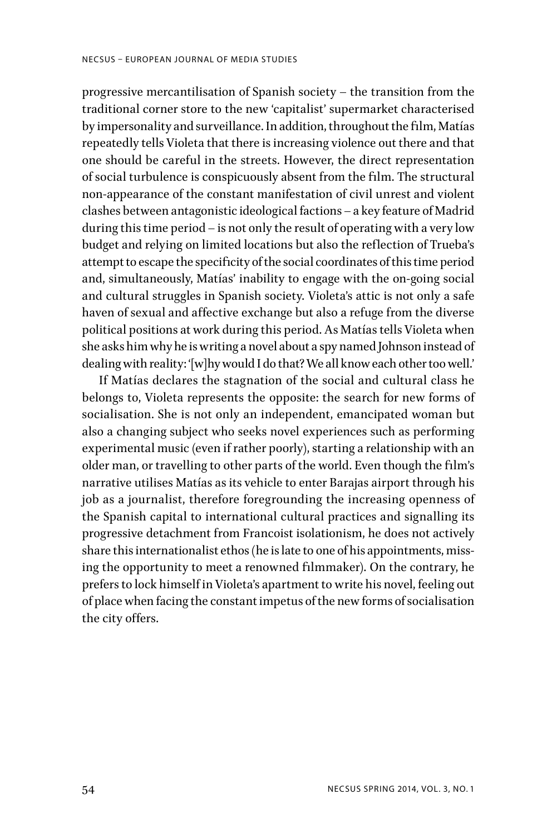progressive mercantilisation of Spanish society – the transition from the traditional corner store to the new 'capitalist' supermarket characterised by impersonality and surveillance. In addition, throughout the film, Matías repeatedly tells Violeta that there is increasing violence out there and that one should be careful in the streets. However, the direct representation of social turbulence is conspicuously absent from the film. The structural non-appearance of the constant manifestation of civil unrest and violent clashes between antagonistic ideological factions – a key feature of Madrid during this time period – is not only the result of operating with a very low budget and relying on limited locations but also the reflection of Trueba's attempt to escape the specificity of the social coordinates of this time period and, simultaneously, Matías' inability to engage with the on-going social and cultural struggles in Spanish society. Violeta's attic is not only a safe haven of sexual and affective exchange but also a refuge from the diverse political positions at work during this period. As Matías tells Violeta when she asks him why he is writing a novel about a spy named Johnson instead of dealing with reality: '[w]hy would I do that? We all know each other too well.'

If Matías declares the stagnation of the social and cultural class he belongs to, Violeta represents the opposite: the search for new forms of socialisation. She is not only an independent, emancipated woman but also a changing subject who seeks novel experiences such as performing experimental music (even if rather poorly), starting a relationship with an older man, or travelling to other parts of the world. Even though the film's narrative utilises Matías as its vehicle to enter Barajas airport through his job as a journalist, therefore foregrounding the increasing openness of the Spanish capital to international cultural practices and signalling its progressive detachment from Francoist isolationism, he does not actively share this internationalist ethos (he is late to one of his appointments, missing the opportunity to meet a renowned filmmaker). On the contrary, he prefers to lock himself in Violeta's apartment to write his novel, feeling out of place when facing the constant impetus of the new forms of socialisation the city offers.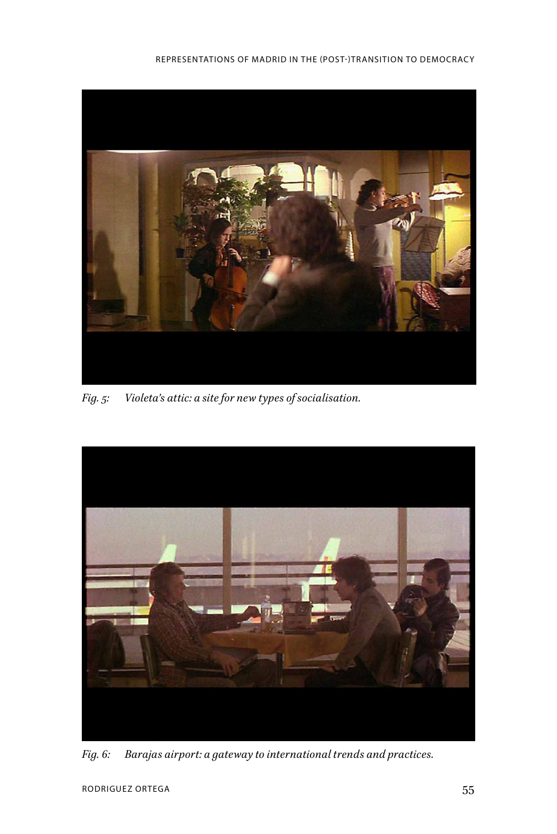

*Fig. 5: Violeta's attic: a site for new types of socialisation.*



*Fig. 6: Barajas airport: a gateway to international trends and practices.*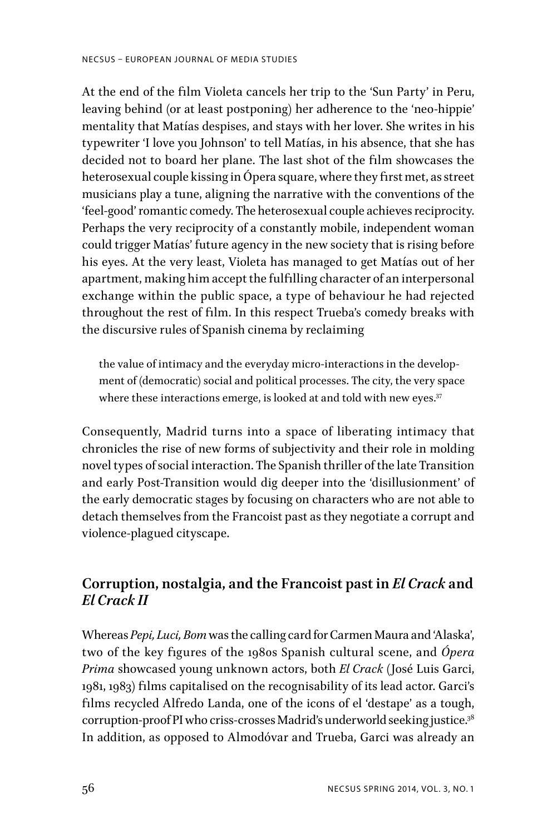At the end of the film Violeta cancels her trip to the 'Sun Party' in Peru, leaving behind (or at least postponing) her adherence to the 'neo-hippie' mentality that Matías despises, and stays with her lover. She writes in his typewriter 'I love you Johnson' to tell Matías, in his absence, that she has decided not to board her plane. The last shot of the film showcases the heterosexual couple kissing in Ópera square, where they first met, as street musicians play a tune, aligning the narrative with the conventions of the 'feel-good' romantic comedy. The heterosexual couple achieves reciprocity. Perhaps the very reciprocity of a constantly mobile, independent woman could trigger Matías' future agency in the new society that is rising before his eyes. At the very least, Violeta has managed to get Matías out of her apartment, making him accept the fulfilling character of an interpersonal exchange within the public space, a type of behaviour he had rejected throughout the rest of film. In this respect Trueba's comedy breaks with the discursive rules of Spanish cinema by reclaiming

the value of intimacy and the everyday micro-interactions in the development of (democratic) social and political processes. The city, the very space where these interactions emerge, is looked at and told with new eyes.<sup>37</sup>

Consequently, Madrid turns into a space of liberating intimacy that chronicles the rise of new forms of subjectivity and their role in molding novel types of social interaction. The Spanish thriller of the late Transition and early Post-Transition would dig deeper into the 'disillusionment' of the early democratic stages by focusing on characters who are not able to detach themselves from the Francoist past as they negotiate a corrupt and violence-plagued cityscape.

## **Corruption, nostalgia, and the Francoist past in** *El Crack* **and**  *El Crack II*

Whereas *Pepi, Luci, Bom* was the calling card for Carmen Maura and 'Alaska', two of the key figures of the 1980s Spanish cultural scene, and *Ópera Prima* showcased young unknown actors, both *El Crack* (José Luis Garci, 1981, 1983) films capitalised on the recognisability of its lead actor. Garci's films recycled Alfredo Landa, one of the icons of el 'destape' as a tough, corruption-proof PI who criss-crosses Madrid's underworld seeking justice.<sup>38</sup> In addition, as opposed to Almodóvar and Trueba, Garci was already an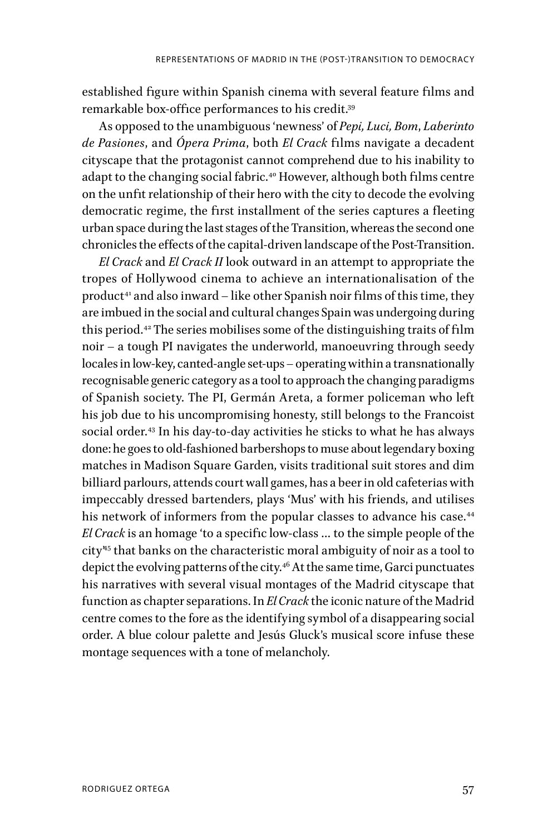established figure within Spanish cinema with several feature films and remarkable box-office performances to his credit.39

As opposed to the unambiguous 'newness' of *Pepi, Luci, Bom*, *Laberinto de Pasiones*, and *Ópera Prima*, both *El Crack* films navigate a decadent cityscape that the protagonist cannot comprehend due to his inability to adapt to the changing social fabric.<sup>40</sup> However, although both films centre on the unfit relationship of their hero with the city to decode the evolving democratic regime, the first installment of the series captures a fleeting urban space during the last stages of the Transition, whereas the second one chronicles the effects of the capital-driven landscape of the Post-Transition.

*El Crack* and *El Crack II* look outward in an attempt to appropriate the tropes of Hollywood cinema to achieve an internationalisation of the product<sup>41</sup> and also inward – like other Spanish noir films of this time, they are imbued in the social and cultural changes Spain was undergoing during this period.42 The series mobilises some of the distinguishing traits of film noir – a tough PI navigates the underworld, manoeuvring through seedy locales in low-key, canted-angle set-ups – operating within a transnationally recognisable generic category as a tool to approach the changing paradigms of Spanish society. The PI, Germán Areta, a former policeman who left his job due to his uncompromising honesty, still belongs to the Francoist social order.<sup>43</sup> In his day-to-day activities he sticks to what he has always done: he goes to old-fashioned barbershops to muse about legendary boxing matches in Madison Square Garden, visits traditional suit stores and dim billiard parlours, attends court wall games, has a beer in old cafeterias with impeccably dressed bartenders, plays 'Mus' with his friends, and utilises his network of informers from the popular classes to advance his case.<sup>44</sup> *El Crack* is an homage 'to a specific low-class … to the simple people of the city'45 that banks on the characteristic moral ambiguity of noir as a tool to depict the evolving patterns of the city.<sup>46</sup> At the same time, Garci punctuates his narratives with several visual montages of the Madrid cityscape that function as chapter separations. In *El Crack* the iconic nature of the Madrid centre comes to the fore as the identifying symbol of a disappearing social order. A blue colour palette and Jesús Gluck's musical score infuse these montage sequences with a tone of melancholy.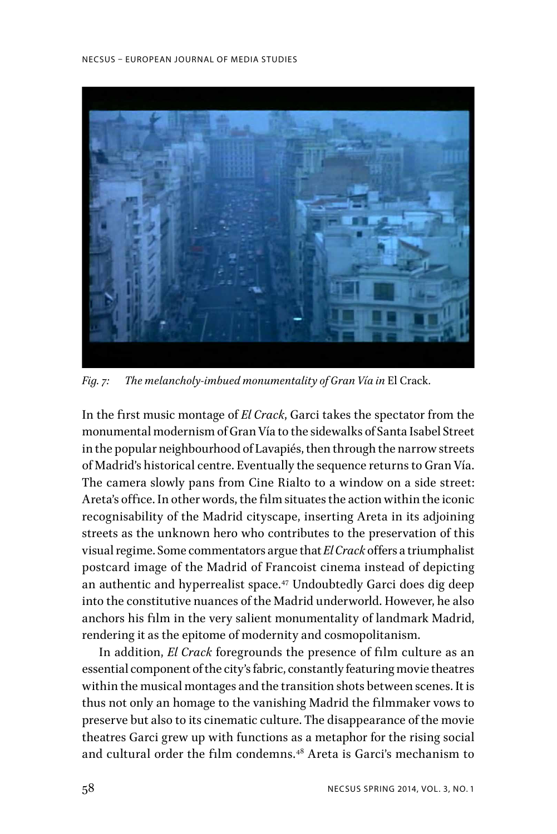

*Fig. 7: The melancholy-imbued monumentality of Gran Vía in* El Crack*.*

In the first music montage of *El Crack*, Garci takes the spectator from the monumental modernism of Gran Vía to the sidewalks of Santa Isabel Street in the popular neighbourhood of Lavapiés, then through the narrow streets of Madrid's historical centre. Eventually the sequence returns to Gran Vía. The camera slowly pans from Cine Rialto to a window on a side street: Areta's office. In other words, the film situates the action within the iconic recognisability of the Madrid cityscape, inserting Areta in its adjoining streets as the unknown hero who contributes to the preservation of this visual regime. Some commentators argue that *El Crack* offers a triumphalist postcard image of the Madrid of Francoist cinema instead of depicting an authentic and hyperrealist space.<sup>47</sup> Undoubtedly Garci does dig deep into the constitutive nuances of the Madrid underworld. However, he also anchors his film in the very salient monumentality of landmark Madrid, rendering it as the epitome of modernity and cosmopolitanism.

In addition, *El Crack* foregrounds the presence of film culture as an essential component of the city's fabric, constantly featuring movie theatres within the musical montages and the transition shots between scenes. It is thus not only an homage to the vanishing Madrid the filmmaker vows to preserve but also to its cinematic culture. The disappearance of the movie theatres Garci grew up with functions as a metaphor for the rising social and cultural order the film condemns.<sup>48</sup> Areta is Garci's mechanism to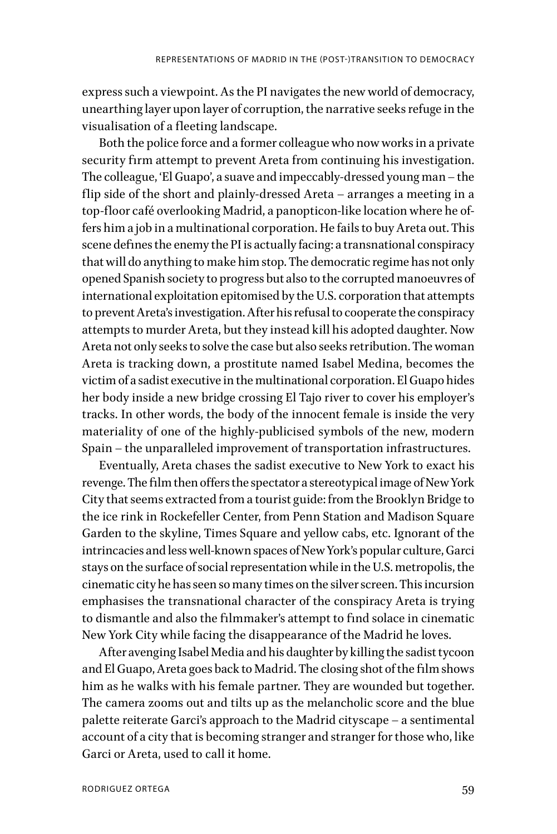express such a viewpoint. As the PI navigates the new world of democracy, unearthing layer upon layer of corruption, the narrative seeks refuge in the visualisation of a fleeting landscape.

Both the police force and a former colleague who now works in a private security firm attempt to prevent Areta from continuing his investigation. The colleague, 'El Guapo', a suave and impeccably-dressed young man – the flip side of the short and plainly-dressed Areta – arranges a meeting in a top-floor café overlooking Madrid, a panopticon-like location where he offers him a job in a multinational corporation. He fails to buy Areta out. This scene defines the enemy the PI is actually facing: a transnational conspiracy that will do anything to make him stop. The democratic regime has not only opened Spanish society to progress but also to the corrupted manoeuvres of international exploitation epitomised by the U.S. corporation that attempts to prevent Areta's investigation. After his refusal to cooperate the conspiracy attempts to murder Areta, but they instead kill his adopted daughter. Now Areta not only seeks to solve the case but also seeks retribution. The woman Areta is tracking down, a prostitute named Isabel Medina, becomes the victim of a sadist executive in the multinational corporation. El Guapo hides her body inside a new bridge crossing El Tajo river to cover his employer's tracks. In other words, the body of the innocent female is inside the very materiality of one of the highly-publicised symbols of the new, modern Spain – the unparalleled improvement of transportation infrastructures.

Eventually, Areta chases the sadist executive to New York to exact his revenge. The film then offers the spectator a stereotypical image of New York City that seems extracted from a tourist guide: from the Brooklyn Bridge to the ice rink in Rockefeller Center, from Penn Station and Madison Square Garden to the skyline, Times Square and yellow cabs, etc. Ignorant of the intrincacies and less well-known spaces of New York's popular culture, Garci stays on the surface of social representation while in the U.S. metropolis, the cinematic city he has seen so many times on the silver screen. This incursion emphasises the transnational character of the conspiracy Areta is trying to dismantle and also the filmmaker's attempt to find solace in cinematic New York City while facing the disappearance of the Madrid he loves.

After avenging Isabel Media and his daughter by killing the sadist tycoon and El Guapo, Areta goes back to Madrid. The closing shot of the film shows him as he walks with his female partner. They are wounded but together. The camera zooms out and tilts up as the melancholic score and the blue palette reiterate Garci's approach to the Madrid cityscape – a sentimental account of a city that is becoming stranger and stranger for those who, like Garci or Areta, used to call it home.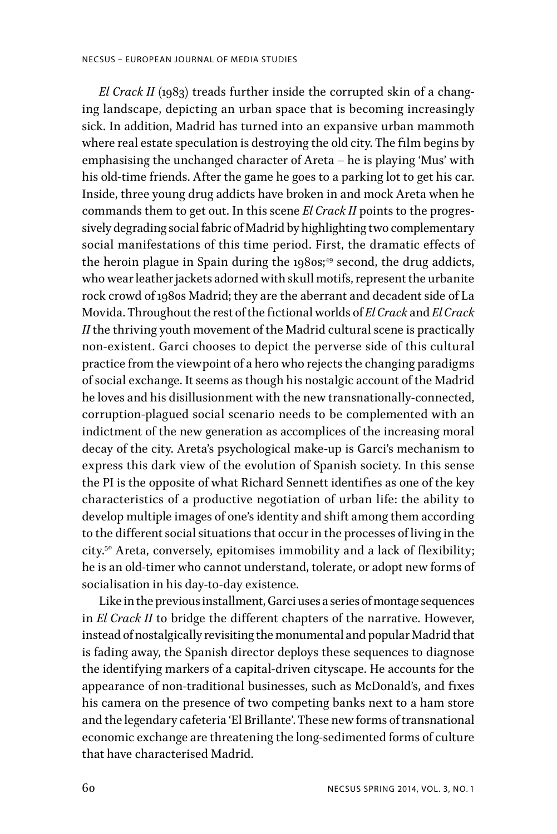*El Crack II* (1983) treads further inside the corrupted skin of a changing landscape, depicting an urban space that is becoming increasingly sick. In addition, Madrid has turned into an expansive urban mammoth where real estate speculation is destroying the old city. The film begins by emphasising the unchanged character of Areta – he is playing 'Mus' with his old-time friends. After the game he goes to a parking lot to get his car. Inside, three young drug addicts have broken in and mock Areta when he commands them to get out. In this scene *El Crack II* points to the progressively degrading social fabric of Madrid by highlighting two complementary social manifestations of this time period. First, the dramatic effects of the heroin plague in Spain during the 1980s;<sup>49</sup> second, the drug addicts, who wear leather jackets adorned with skull motifs, represent the urbanite rock crowd of 1980s Madrid; they are the aberrant and decadent side of La Movida. Throughout the rest of the fictional worlds of *El Crack* and *El Crack II* the thriving youth movement of the Madrid cultural scene is practically non-existent. Garci chooses to depict the perverse side of this cultural practice from the viewpoint of a hero who rejects the changing paradigms of social exchange. It seems as though his nostalgic account of the Madrid he loves and his disillusionment with the new transnationally-connected, corruption-plagued social scenario needs to be complemented with an indictment of the new generation as accomplices of the increasing moral decay of the city. Areta's psychological make-up is Garci's mechanism to express this dark view of the evolution of Spanish society. In this sense the PI is the opposite of what Richard Sennett identifies as one of the key characteristics of a productive negotiation of urban life: the ability to develop multiple images of one's identity and shift among them according to the different social situations that occur in the processes of living in the city.50 Areta, conversely, epitomises immobility and a lack of flexibility; he is an old-timer who cannot understand, tolerate, or adopt new forms of socialisation in his day-to-day existence.

Like in the previous installment, Garci uses a series of montage sequences in *El Crack II* to bridge the different chapters of the narrative. However, instead of nostalgically revisiting the monumental and popular Madrid that is fading away, the Spanish director deploys these sequences to diagnose the identifying markers of a capital-driven cityscape. He accounts for the appearance of non-traditional businesses, such as McDonald's, and fixes his camera on the presence of two competing banks next to a ham store and the legendary cafeteria 'El Brillante'. These new forms of transnational economic exchange are threatening the long-sedimented forms of culture that have characterised Madrid.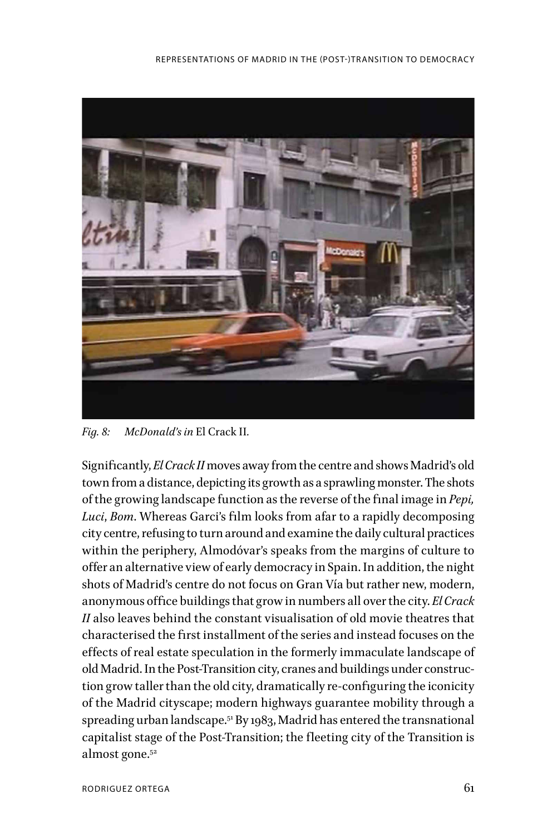

*Fig. 8: McDonald's in* El Crack II*.*

Significantly, *El Crack II* moves away from the centre and shows Madrid's old town from a distance, depicting its growth as a sprawling monster. The shots of the growing landscape function as the reverse of the final image in *Pepi, Luci*, *Bom*. Whereas Garci's film looks from afar to a rapidly decomposing city centre, refusing to turn around and examine the daily cultural practices within the periphery, Almodóvar's speaks from the margins of culture to offer an alternative view of early democracy in Spain. In addition, the night shots of Madrid's centre do not focus on Gran Vía but rather new, modern, anonymous office buildings that grow in numbers all over the city. *El Crack II* also leaves behind the constant visualisation of old movie theatres that characterised the first installment of the series and instead focuses on the effects of real estate speculation in the formerly immaculate landscape of old Madrid. In the Post-Transition city, cranes and buildings under construction grow taller than the old city, dramatically re-configuring the iconicity of the Madrid cityscape; modern highways guarantee mobility through a spreading urban landscape.<sup>51</sup> By 1983, Madrid has entered the transnational capitalist stage of the Post-Transition; the fleeting city of the Transition is almost gone.<sup>52</sup>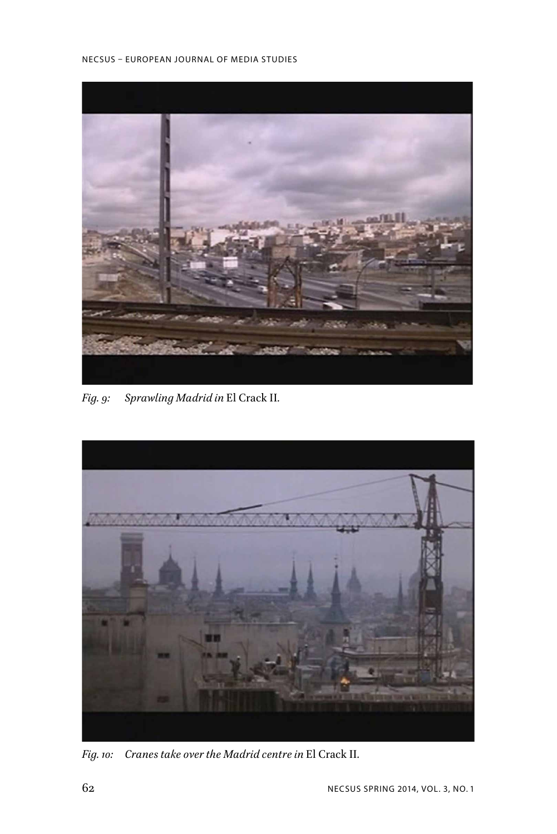#### NECSUS – EUROPEAN JOURNAL OF MEDIA STUDIES



*Fig. 9: Sprawling Madrid in* El Crack II*.*



*Fig. 10: Cranes take over the Madrid centre in* El Crack II*.*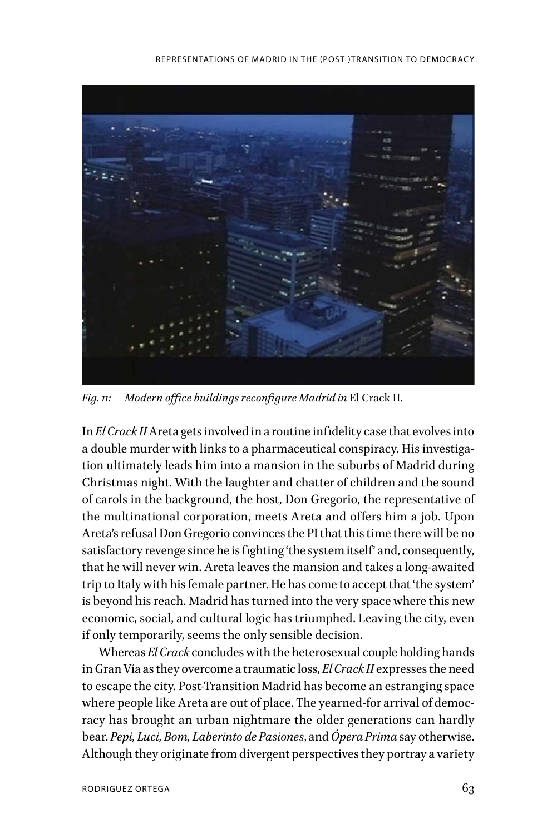

*Fig. 11: Modern office buildings reconfigure Madrid in* El Crack II*.*

In *El Crack II* Areta gets involved in a routine infidelity case that evolves into a double murder with links to a pharmaceutical conspiracy. His investigation ultimately leads him into a mansion in the suburbs of Madrid during Christmas night. With the laughter and chatter of children and the sound of carols in the background, the host, Don Gregorio, the representative of the multinational corporation, meets Areta and offers him a job. Upon Areta's refusal Don Gregorio convinces the PI that this time there will be no satisfactory revenge since he is fighting 'the system itself' and, consequently, that he will never win. Areta leaves the mansion and takes a long-awaited trip to Italy with his female partner. He has come to accept that 'the system' is beyond his reach. Madrid has turned into the very space where this new economic, social, and cultural logic has triumphed. Leaving the city, even if only temporarily, seems the only sensible decision.

Whereas *El Crack* concludes with the heterosexual couple holding hands in Gran Vía as they overcome a traumatic loss, *El Crack II* expresses the need to escape the city. Post-Transition Madrid has become an estranging space where people like Areta are out of place. The yearned-for arrival of democracy has brought an urban nightmare the older generations can hardly bear. *Pepi, Luci, Bom, Laberinto de Pasiones*, and *Ópera Prima* say otherwise. Although they originate from divergent perspectives they portray a variety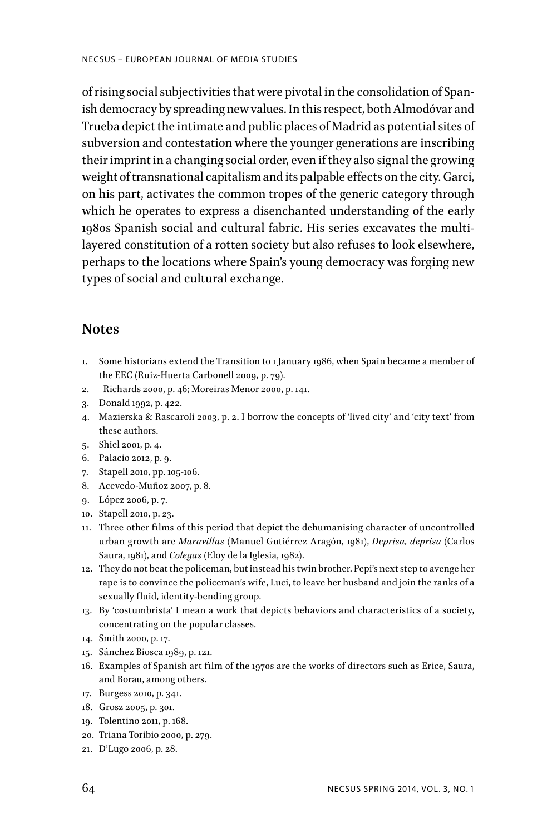of rising social subjectivities that were pivotal in the consolidation of Spanish democracy by spreading new values. In this respect, both Almodóvar and Trueba depict the intimate and public places of Madrid as potential sites of subversion and contestation where the younger generations are inscribing their imprint in a changing social order, even if they also signal the growing weight of transnational capitalism and its palpable effects on the city. Garci, on his part, activates the common tropes of the generic category through which he operates to express a disenchanted understanding of the early 1980s Spanish social and cultural fabric. His series excavates the multilayered constitution of a rotten society but also refuses to look elsewhere, perhaps to the locations where Spain's young democracy was forging new types of social and cultural exchange.

### **Notes**

- 1. Some historians extend the Transition to 1 January 1986, when Spain became a member of the EEC (Ruiz-Huerta Carbonell 2009, p. 79).
- 2. Richards 2000, p. 46; Moreiras Menor 2000, p. 141.
- 3. Donald 1992, p. 422.
- 4. Mazierska & Rascaroli 2003, p. 2. I borrow the concepts of 'lived city' and 'city text' from these authors.
- 5. Shiel 2001, p. 4.
- 6. Palacio 2012, p. 9.
- 7. Stapell 2010, pp. 105-106.
- 8. Acevedo-Muñoz 2007, p. 8.
- 9. López 2006, p. 7.
- 10. Stapell 2010, p. 23.
- 11. Three other films of this period that depict the dehumanising character of uncontrolled urban growth are *Maravillas* (Manuel Gutiérrez Aragón, 1981), *Deprisa, deprisa* (Carlos Saura, 1981), and *Colegas* (Eloy de la Iglesia, 1982).
- 12. They do not beat the policeman, but instead his twin brother. Pepi's next step to avenge her rape is to convince the policeman's wife, Luci, to leave her husband and join the ranks of a sexually fluid, identity-bending group.
- 13. By 'costumbrista' I mean a work that depicts behaviors and characteristics of a society, concentrating on the popular classes.
- 14. Smith 2000, p. 17.
- 15. Sánchez Biosca 1989, p. 121.
- 16. Examples of Spanish art film of the 1970s are the works of directors such as Erice, Saura, and Borau, among others.
- 17. Burgess 2010, p. 341.
- 18. Grosz 2005, p. 301.
- 19. Tolentino 2011, p. 168.
- 20. Triana Toribio 2000, p. 279.
- 21. D'Lugo 2006, p. 28.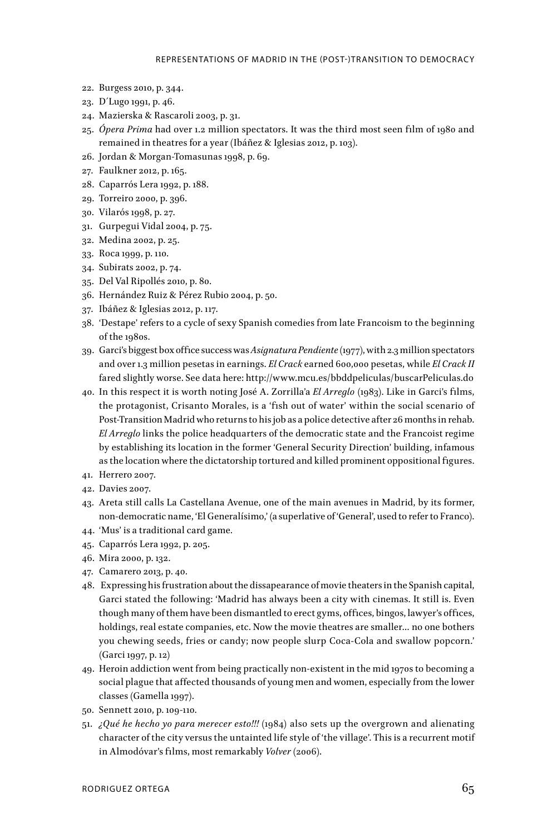- 22. Burgess 2010, p. 344.
- 23. D´Lugo 1991, p. 46.
- 24. Mazierska & Rascaroli 2003, p. 31.
- 25. *Ópera Prima* had over 1.2 million spectators. It was the third most seen film of 1980 and remained in theatres for a year (Ibáñez & Iglesias 2012, p. 103).
- 26. Jordan & Morgan-Tomasunas 1998, p. 69.
- 27. Faulkner 2012, p. 165.
- 28. Caparrós Lera 1992, p. 188.
- 29. Torreiro 2000, p. 396.
- 30. Vilarós 1998, p. 27.
- 31. Gurpegui Vidal 2004, p. 75.
- 32. Medina 2002, p. 25.
- 33. Roca 1999, p. 110.
- 34. Subirats 2002, p. 74.
- 35. Del Val Ripollés 2010, p. 80.
- 36. Hernández Ruiz & Pérez Rubio 2004, p. 50.
- 37. Ibáñez & Iglesias 2012, p. 117.
- 38. 'Destape' refers to a cycle of sexy Spanish comedies from late Francoism to the beginning of the 1980s.
- 39. Garci's biggest box office success was *Asignatura Pendiente* (1977), with 2.3 million spectators and over 1.3 million pesetas in earnings. *El Crack* earned 600,000 pesetas, while *El Crack II* fared slightly worse. See data here: http://www.mcu.es/bbddpeliculas/buscarPeliculas.do
- 40. In this respect it is worth noting José A. Zorrilla'a *El Arreglo* (1983). Like in Garci's films, the protagonist, Crisanto Morales, is a 'fish out of water' within the social scenario of Post-Transition Madrid who returns to his job as a police detective after 26 months in rehab. *El Arreglo* links the police headquarters of the democratic state and the Francoist regime by establishing its location in the former 'General Security Direction' building, infamous as the location where the dictatorship tortured and killed prominent oppositional figures.
- 41. Herrero 2007.
- 42. Davies 2007.
- 43. Areta still calls La Castellana Avenue, one of the main avenues in Madrid, by its former, non-democratic name, 'El Generalísimo,' (a superlative of 'General', used to refer to Franco).
- 44. 'Mus' is a traditional card game.
- 45. Caparrós Lera 1992, p. 205.
- 46. Mira 2000, p. 132.
- 47. Camarero 2013, p. 40.
- 48. Expressing his frustration about the dissapearance of movie theaters in the Spanish capital, Garci stated the following: 'Madrid has always been a city with cinemas. It still is. Even though many of them have been dismantled to erect gyms, offices, bingos, lawyer's offices, holdings, real estate companies, etc. Now the movie theatres are smaller… no one bothers you chewing seeds, fries or candy; now people slurp Coca-Cola and swallow popcorn.' (Garci 1997, p. 12)
- 49. Heroin addiction went from being practically non-existent in the mid 1970s to becoming a social plague that affected thousands of young men and women, especially from the lower classes (Gamella 1997).
- 50. Sennett 2010, p. 109-110.
- 51. *¿Qué he hecho yo para merecer esto!!!* (1984) also sets up the overgrown and alienating character of the city versus the untainted life style of 'the village'. This is a recurrent motif in Almodóvar's films, most remarkably *Volver* (2006).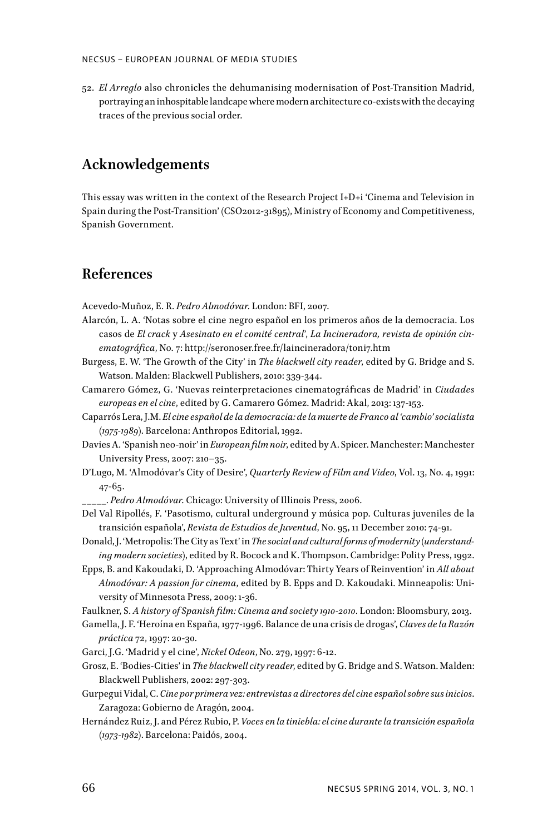52. *El Arreglo* also chronicles the dehumanising modernisation of Post-Transition Madrid, portraying an inhospitable landcape where modern architecture co-exists with the decaying traces of the previous social order.

## **Acknowledgements**

This essay was written in the context of the Research Project I+D+i 'Cinema and Television in Spain during the Post-Transition' (CSO2012-31895), Ministry of Economy and Competitiveness, Spanish Government.

## **References**

Acevedo-Muñoz, E. R. *Pedro Almodóvar*. London: BFI, 2007.

- Alarcón, L. A. 'Notas sobre el cine negro español en los primeros años de la democracia. Los casos de *El crack* y *Asesinato en el comité central*', *La Incineradora, revista de opinión cinematográfica*, No. 7: http://seronoser.free.fr/laincineradora/toni7.htm
- Burgess, E. W. 'The Growth of the City' in *The blackwell city reader*, edited by G. Bridge and S. Watson. Malden: Blackwell Publishers, 2010: 339-344.
- Camarero Gómez, G. 'Nuevas reinterpretaciones cinematográficas de Madrid' in *Ciudades europeas en el cine*, edited by G. Camarero Gómez. Madrid: Akal, 2013: 137-153.
- Caparrós Lera, J.M. *El cine español de la democracia: de la muerte de Franco al 'cambio' socialista (1975-1989)*. Barcelona: Anthropos Editorial, 1992.
- Davies A. 'Spanish neo-noir' in *European film noir*, edited by A. Spicer. Manchester: Manchester University Press, 2007: 210–35.
- D'Lugo, M. 'Almodóvar's City of Desire', *Quarterly Review of Film and Video*, Vol. 13, No. 4, 1991: 47-65.

\_\_\_\_\_. *Pedro Almodóvar*. Chicago: University of Illinois Press, 2006.

- Del Val Ripollés, F. 'Pasotismo, cultural underground y música pop. Culturas juveniles de la transición española', *Revista de Estudios de Juventud*, No. 95, 11 December 2010: 74-91.
- Donald, J. 'Metropolis: The City as Text' in *The social and cultural forms of modernity (understanding modern societies)*, edited by R. Bocock and K. Thompson. Cambridge: Polity Press, 1992.
- Epps, B. and Kakoudaki, D. 'Approaching Almodóvar: Thirty Years of Reinvention' in *All about Almodóvar: A passion for cinema*, edited by B. Epps and D. Kakoudaki. Minneapolis: University of Minnesota Press, 2009: 1-36.

Faulkner, S. *A history of Spanish film: Cinema and society 1910-2010*. London: Bloomsbury, 2013.

- Gamella, J. F. 'Heroína en España, 1977-1996. Balance de una crisis de drogas', *Claves de la Razón práctica* 72, 1997: 20-30.
- Garci, J.G. 'Madrid y el cine', *Nickel Odeon*, No. 279, 1997: 6-12.

Grosz, E. 'Bodies-Cities' in *The blackwell city reader*, edited by G. Bridge and S. Watson. Malden: Blackwell Publishers, 2002: 297-303.

- Gurpegui Vidal, C. *Cine por primera vez: entrevistas a directores del cine español sobre sus inicios*. Zaragoza: Gobierno de Aragón, 2004.
- Hernández Ruiz, J. and Pérez Rubio, P. *Voces en la tiniebla: el cine durante la transición española (1973-1982)*. Barcelona: Paidós, 2004.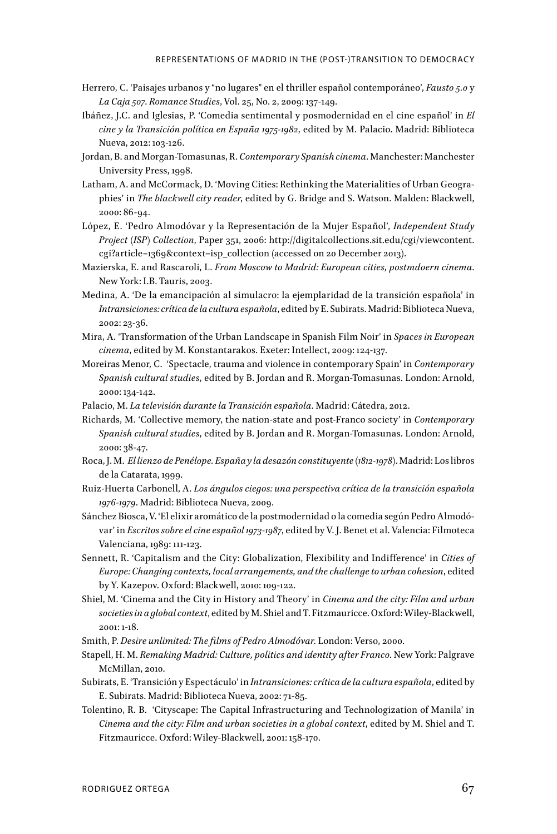- Herrero, C. 'Paisajes urbanos y "no lugares" en el thriller español contemporáneo', *Fausto 5.0* y *La Caja 507*. *Romance Studies*, Vol. 25, No. 2, 2009: 137-149.
- Ibáñez, J.C. and Iglesias, P. 'Comedia sentimental y posmodernidad en el cine español' in *El cine y la Transición política en España 1975-1982*, edited by M. Palacio. Madrid: Biblioteca Nueva, 2012: 103-126.
- Jordan, B. and Morgan-Tomasunas, R. *Contemporary Spanish cinema*. Manchester: Manchester University Press, 1998.
- Latham, A. and McCormack, D. 'Moving Cities: Rethinking the Materialities of Urban Geographies' in *The blackwell city reader*, edited by G. Bridge and S. Watson. Malden: Blackwell, 2000: 86-94.
- López, E. 'Pedro Almodóvar y la Representación de la Mujer Español', *Independent Study Project (ISP) Collection*, Paper 351, 2006: http://digitalcollections.sit.edu/cgi/viewcontent. cgi?article=1369&context=isp\_collection (accessed on 20 December 2013).
- Mazierska, E. and Rascaroli, L. *From Moscow to Madrid: European cities, postmdoern cinema*. New York: I.B. Tauris, 2003.
- Medina, A. 'De la emancipación al simulacro: la ejemplaridad de la transición española' in *Intransiciones: crítica de la cultura española*, edited by E. Subirats. Madrid: Biblioteca Nueva, 2002: 23-36.
- Mira, A. 'Transformation of the Urban Landscape in Spanish Film Noir' in *Spaces in European cinema*, edited by M. Konstantarakos. Exeter: Intellect, 2009: 124-137.
- Moreiras Menor, C. 'Spectacle, trauma and violence in contemporary Spain' in *Contemporary Spanish cultural studies*, edited by B. Jordan and R. Morgan-Tomasunas. London: Arnold, 2000: 134-142.
- Palacio, M. *La televisión durante la Transición española*. Madrid: Cátedra, 2012.
- Richards, M. 'Collective memory, the nation-state and post-Franco society' in *Contemporary Spanish cultural studies*, edited by B. Jordan and R. Morgan-Tomasunas. London: Arnold, 2000: 38-47.
- Roca, J. M. *El lienzo de Penélope. España y la desazón constituyente (1812-1978)*.Madrid: Los libros de la Catarata, 1999.
- Ruiz-Huerta Carbonell, A. *Los ángulos ciegos: una perspectiva crítica de la transición española 1976-1979*. Madrid: Biblioteca Nueva, 2009.
- Sánchez Biosca, V. 'El elixir aromático de la postmodernidad o la comedia según Pedro Almodóvar' in *Escritos sobre el cine español 1973-1987*, edited by V. J. Benet et al. Valencia: Filmoteca Valenciana, 1989: 111-123.
- Sennett, R. 'Capitalism and the City: Globalization, Flexibility and Indifference' in *Cities of Europe: Changing contexts, local arrangements, and the challenge to urban cohesion*, edited by Y. Kazepov. Oxford: Blackwell, 2010: 109-122.
- Shiel, M. 'Cinema and the City in History and Theory' in *Cinema and the city: Film and urban societies in a global context*, edited by M. Shiel and T. Fitzmauricce.Oxford: Wiley-Blackwell, 2001: 1-18.
- Smith, P. *Desire unlimited: The films of Pedro Almodóvar*. London: Verso, 2000.
- Stapell, H. M. *Remaking Madrid: Culture, politics and identity after Franco*. New York: Palgrave McMillan, 2010.
- Subirats, E. 'Transición y Espectáculo' in *Intransiciones: crítica de la cultura española*, edited by E. Subirats. Madrid: Biblioteca Nueva, 2002: 71-85.
- Tolentino, R. B. 'Cityscape: The Capital Infrastructuring and Technologization of Manila' in *Cinema and the city: Film and urban societies in a global context*, edited by M. Shiel and T. Fitzmauricce. Oxford: Wiley-Blackwell, 2001: 158-170.